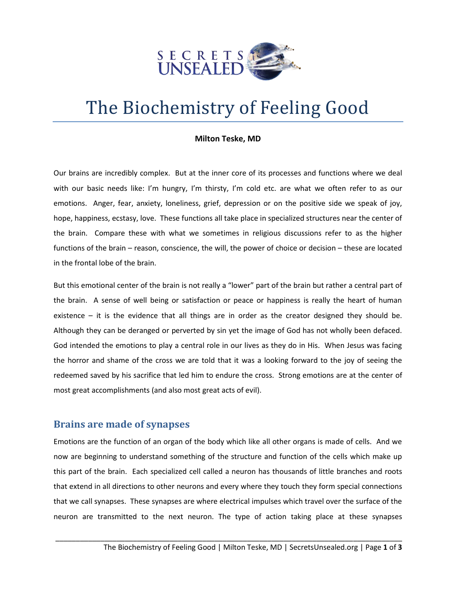

# The Biochemistry of Feeling Good

#### **Milton Teske, MD**

Our brains are incredibly complex. But at the inner core of its processes and functions where we deal with our basic needs like: I'm hungry, I'm thirsty, I'm cold etc. are what we often refer to as our emotions. Anger, fear, anxiety, loneliness, grief, depression or on the positive side we speak of joy, hope, happiness, ecstasy, love. These functions all take place in specialized structures near the center of the brain. Compare these with what we sometimes in religious discussions refer to as the higher functions of the brain – reason, conscience, the will, the power of choice or decision – these are located in the frontal lobe of the brain.

But this emotional center of the brain is not really a "lower" part of the brain but rather a central part of the brain. A sense of well being or satisfaction or peace or happiness is really the heart of human existence – it is the evidence that all things are in order as the creator designed they should be. Although they can be deranged or perverted by sin yet the image of God has not wholly been defaced. God intended the emotions to play a central role in our lives as they do in His. When Jesus was facing the horror and shame of the cross we are told that it was a looking forward to the joy of seeing the redeemed saved by his sacrifice that led him to endure the cross. Strong emotions are at the center of most great accomplishments (and also most great acts of evil).

## **Brains are made of synapses**

Emotions are the function of an organ of the body which like all other organs is made of cells. And we now are beginning to understand something of the structure and function of the cells which make up this part of the brain. Each specialized cell called a neuron has thousands of little branches and roots that extend in all directions to other neurons and every where they touch they form special connections that we call synapses. These synapses are where electrical impulses which travel over the surface of the neuron are transmitted to the next neuron. The type of action taking place at these synapses

\_\_\_\_\_\_\_\_\_\_\_\_\_\_\_\_\_\_\_\_\_\_\_\_\_\_\_\_\_\_\_\_\_\_\_\_\_\_\_\_\_\_\_\_\_\_\_\_\_\_\_\_\_\_\_\_\_\_\_\_\_\_\_\_\_\_\_\_\_\_\_\_\_\_\_\_\_\_\_\_\_\_\_\_\_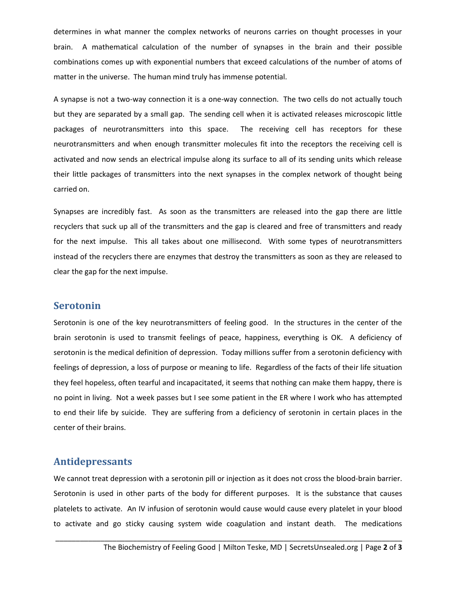determines in what manner the complex networks of neurons carries on thought processes in your brain. A mathematical calculation of the number of synapses in the brain and their possible combinations comes up with exponential numbers that exceed calculations of the number of atoms of matter in the universe. The human mind truly has immense potential.

A synapse is not a two-way connection it is a one-way connection. The two cells do not actually touch but they are separated by a small gap. The sending cell when it is activated releases microscopic little packages of neurotransmitters into this space. The receiving cell has receptors for these neurotransmitters and when enough transmitter molecules fit into the receptors the receiving cell is activated and now sends an electrical impulse along its surface to all of its sending units which release their little packages of transmitters into the next synapses in the complex network of thought being carried on.

Synapses are incredibly fast. As soon as the transmitters are released into the gap there are little recyclers that suck up all of the transmitters and the gap is cleared and free of transmitters and ready for the next impulse. This all takes about one millisecond. With some types of neurotransmitters instead of the recyclers there are enzymes that destroy the transmitters as soon as they are released to clear the gap for the next impulse.

### **Serotonin**

Serotonin is one of the key neurotransmitters of feeling good. In the structures in the center of the brain serotonin is used to transmit feelings of peace, happiness, everything is OK. A deficiency of serotonin is the medical definition of depression. Today millions suffer from a serotonin deficiency with feelings of depression, a loss of purpose or meaning to life. Regardless of the facts of their life situation they feel hopeless, often tearful and incapacitated, it seems that nothing can make them happy, there is no point in living. Not a week passes but I see some patient in the ER where I work who has attempted to end their life by suicide. They are suffering from a deficiency of serotonin in certain places in the center of their brains.

## **Antidepressants**

We cannot treat depression with a serotonin pill or injection as it does not cross the blood-brain barrier. Serotonin is used in other parts of the body for different purposes. It is the substance that causes platelets to activate. An IV infusion of serotonin would cause would cause every platelet in your blood to activate and go sticky causing system wide coagulation and instant death. The medications

\_\_\_\_\_\_\_\_\_\_\_\_\_\_\_\_\_\_\_\_\_\_\_\_\_\_\_\_\_\_\_\_\_\_\_\_\_\_\_\_\_\_\_\_\_\_\_\_\_\_\_\_\_\_\_\_\_\_\_\_\_\_\_\_\_\_\_\_\_\_\_\_\_\_\_\_\_\_\_\_\_\_\_\_\_